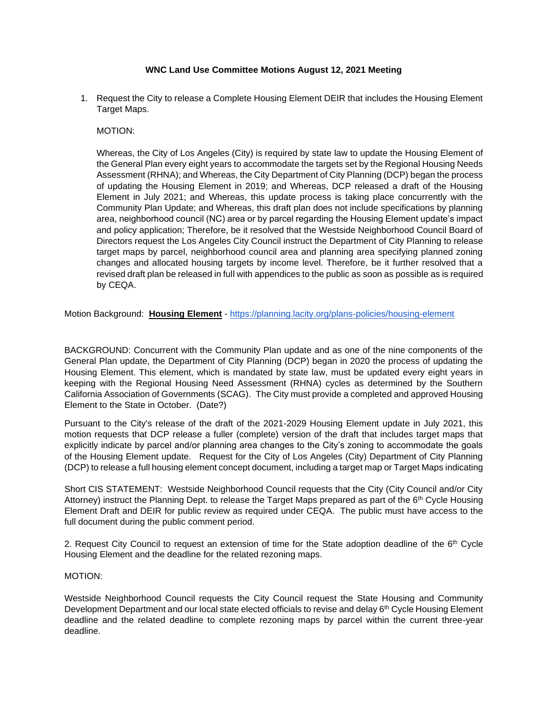## **WNC Land Use Committee Motions August 12, 2021 Meeting**

1. Request the City to release a Complete Housing Element DEIR that includes the Housing Element Target Maps.

MOTION:

Whereas, the City of Los Angeles (City) is required by state law to update the Housing Element of the General Plan every eight years to accommodate the targets set by the Regional Housing Needs Assessment (RHNA); and Whereas, the City Department of City Planning (DCP) began the process of updating the Housing Element in 2019; and Whereas, DCP released a draft of the Housing Element in July 2021; and Whereas, this update process is taking place concurrently with the Community Plan Update; and Whereas, this draft plan does not include specifications by planning area, neighborhood council (NC) area or by parcel regarding the Housing Element update's impact and policy application; Therefore, be it resolved that the Westside Neighborhood Council Board of Directors request the Los Angeles City Council instruct the Department of City Planning to release target maps by parcel, neighborhood council area and planning area specifying planned zoning changes and allocated housing targets by income level. Therefore, be it further resolved that a revised draft plan be released in full with appendices to the public as soon as possible as is required by CEQA.

Motion Background: **Housing Element** - <https://planning.lacity.org/plans-policies/housing-element>

BACKGROUND: Concurrent with the Community Plan update and as one of the nine components of the General Plan update, the Department of City Planning (DCP) began in 2020 the process of updating the Housing Element. This element, which is mandated by state law, must be updated every eight years in keeping with the Regional Housing Need Assessment (RHNA) cycles as determined by the Southern California Association of Governments (SCAG). The City must provide a completed and approved Housing Element to the State in October. (Date?)

Pursuant to the City's release of the draft of the 2021-2029 Housing Element update in July 2021, this motion requests that DCP release a fuller (complete) version of the draft that includes target maps that explicitly indicate by parcel and/or planning area changes to the City's zoning to accommodate the goals of the Housing Element update. Request for the City of Los Angeles (City) Department of City Planning (DCP) to release a full housing element concept document, including a target map or Target Maps indicating

Short CIS STATEMENT: Westside Neighborhood Council requests that the City (City Council and/or City Attorney) instruct the Planning Dept. to release the Target Maps prepared as part of the 6<sup>th</sup> Cycle Housing Element Draft and DEIR for public review as required under CEQA. The public must have access to the full document during the public comment period.

2. Request City Council to request an extension of time for the State adoption deadline of the  $6<sup>th</sup>$  Cycle Housing Element and the deadline for the related rezoning maps.

#### MOTION:

Westside Neighborhood Council requests the City Council request the State Housing and Community Development Department and our local state elected officials to revise and delay 6<sup>th</sup> Cycle Housing Element deadline and the related deadline to complete rezoning maps by parcel within the current three-year deadline.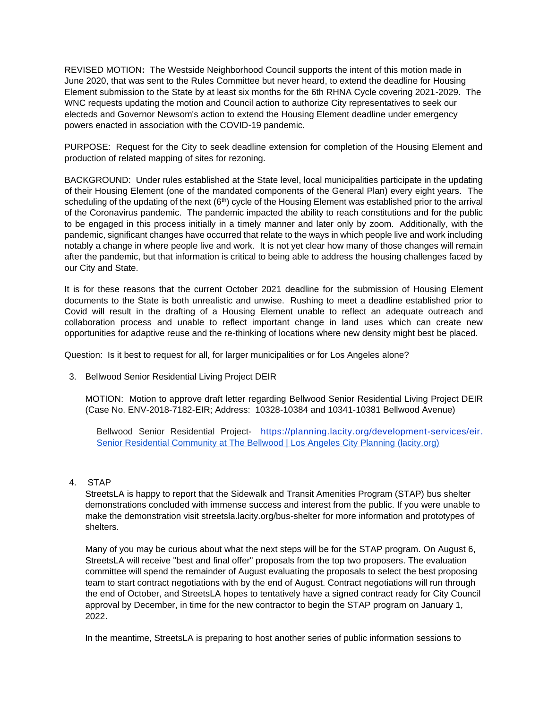REVISED MOTION**:** The Westside Neighborhood Council supports the intent of this motion made in June 2020, that was sent to the Rules Committee but never heard, to extend the deadline for Housing Element submission to the State by at least six months for the 6th RHNA Cycle covering 2021-2029. The WNC requests updating the motion and Council action to authorize City representatives to seek our electeds and Governor Newsom's action to extend the Housing Element deadline under emergency powers enacted in association with the COVID-19 pandemic.

PURPOSE: Request for the City to seek deadline extension for completion of the Housing Element and production of related mapping of sites for rezoning.

BACKGROUND: Under rules established at the State level, local municipalities participate in the updating of their Housing Element (one of the mandated components of the General Plan) every eight years. The scheduling of the updating of the next (6<sup>th</sup>) cycle of the Housing Element was established prior to the arrival of the Coronavirus pandemic. The pandemic impacted the ability to reach constitutions and for the public to be engaged in this process initially in a timely manner and later only by zoom. Additionally, with the pandemic, significant changes have occurred that relate to the ways in which people live and work including notably a change in where people live and work. It is not yet clear how many of those changes will remain after the pandemic, but that information is critical to being able to address the housing challenges faced by our City and State.

It is for these reasons that the current October 2021 deadline for the submission of Housing Element documents to the State is both unrealistic and unwise. Rushing to meet a deadline established prior to Covid will result in the drafting of a Housing Element unable to reflect an adequate outreach and collaboration process and unable to reflect important change in land uses which can create new opportunities for adaptive reuse and the re-thinking of locations where new density might best be placed.

Question: Is it best to request for all, for larger municipalities or for Los Angeles alone?

3. Bellwood Senior Residential Living Project DEIR

MOTION: Motion to approve draft letter regarding Bellwood Senior Residential Living Project DEIR (Case No. ENV-2018-7182-EIR; Address: 10328-10384 and 10341-10381 Bellwood Avenue)

Bellwood Senior Residential Project- [https://planning.lacity.org/development-services/eir.](https://planning.lacity.org/development-services/eir) Senior Residential Community at The Bellwood | Los Angeles City Planning (lacity.org)

#### 4. STAP

StreetsLA is happy to report that the [Sidewalk and Transit Amenities Program \(STAP\)](https://lacity.us7.list-manage.com/track/click?u=fbeee61b98405a4b39a57b705&id=5a369e378d&e=32782daf28) bus shelter demonstrations concluded with immense success and interest from the public. If you were unable to make the demonstration visit streetsla.lacity.org/bus-shelter for more information and prototypes of shelters.

Many of you may be curious about what the next steps will be for the STAP program. On August 6, StreetsLA will receive "best and final offer" proposals from the top two proposers. The evaluation committee will spend the remainder of August evaluating the proposals to select the best proposing team to start contract negotiations with by the end of August. Contract negotiations will run through the end of October, and StreetsLA hopes to tentatively have a signed contract ready for City Council approval by December, in time for the new contractor to begin the STAP program on January 1, 2022.

In the meantime, StreetsLA is preparing to host another series of public information sessions to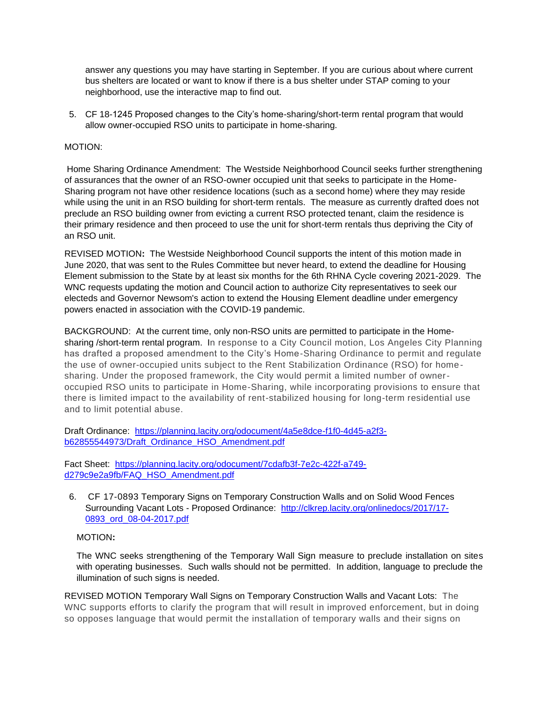answer any questions you may have starting in September. If you are curious about where current bus shelters are located or want to know if there is a bus shelter under STAP coming to your neighborhood, use the [interactive map](https://lacity.us7.list-manage.com/track/click?u=fbeee61b98405a4b39a57b705&id=bf19663b45&e=32782daf28) to find out.

5. CF 18-1245 Proposed changes to the City's home-sharing/short-term rental program that would allow owner-occupied RSO units to participate in home-sharing.

# MOTION:

Home Sharing Ordinance Amendment: The Westside Neighborhood Council seeks further strengthening of assurances that the owner of an RSO-owner occupied unit that seeks to participate in the Home-Sharing program not have other residence locations (such as a second home) where they may reside while using the unit in an RSO building for short-term rentals. The measure as currently drafted does not preclude an RSO building owner from evicting a current RSO protected tenant, claim the residence is their primary residence and then proceed to use the unit for short-term rentals thus depriving the City of an RSO unit.

REVISED MOTION**:** The Westside Neighborhood Council supports the intent of this motion made in June 2020, that was sent to the Rules Committee but never heard, to extend the deadline for Housing Element submission to the State by at least six months for the 6th RHNA Cycle covering 2021-2029. The WNC requests updating the motion and Council action to authorize City representatives to seek our electeds and Governor Newsom's action to extend the Housing Element deadline under emergency powers enacted in association with the COVID-19 pandemic.

BACKGROUND: At the current time, only non-RSO units are permitted to participate in the Homesharing /short-term rental program. In response to a City Council motion, Los Angeles City Planning has drafted a proposed amendment to the City's Home-Sharing Ordinance to permit and regulate the use of owner-occupied units subject to the Rent Stabilization Ordinance (RSO) for homesharing. Under the proposed framework, the City would permit a limited number of owneroccupied RSO units to participate in Home-Sharing, while incorporating provisions to ensure that there is limited impact to the availability of rent-stabilized housing for long-term residential use and to limit potential abuse.

Draft Ordinance: [https://planning.lacity.org/odocument/4a5e8dce-f1f0-4d45-a2f3](https://planning.lacity.org/odocument/4a5e8dce-f1f0-4d45-a2f3-b62855544973/Draft_Ordinance_HSO_Amendment.pdf) [b62855544973/Draft\\_Ordinance\\_HSO\\_Amendment.pdf](https://planning.lacity.org/odocument/4a5e8dce-f1f0-4d45-a2f3-b62855544973/Draft_Ordinance_HSO_Amendment.pdf)

Fact Sheet: [https://planning.lacity.org/odocument/7cdafb3f-7e2c-422f-a749](https://planning.lacity.org/odocument/7cdafb3f-7e2c-422f-a749-d279c9e2a9fb/FAQ_HSO_Amendment.pdf) [d279c9e2a9fb/FAQ\\_HSO\\_Amendment.pdf](https://planning.lacity.org/odocument/7cdafb3f-7e2c-422f-a749-d279c9e2a9fb/FAQ_HSO_Amendment.pdf)

6. CF [17-0893](https://cityclerk.lacity.org/lacityclerkconnect/index.cfm?fa=ccfi.viewrecord&cfnumber=17-0893) Temporary Signs on Temporary Construction Walls and on Solid Wood Fences Surrounding Vacant Lots - Proposed Ordinance: [http://clkrep.lacity.org/onlinedocs/2017/17-](http://clkrep.lacity.org/onlinedocs/2017/17-0893_ord_08-04-2017.pdf) [0893\\_ord\\_08-04-2017.pdf](http://clkrep.lacity.org/onlinedocs/2017/17-0893_ord_08-04-2017.pdf)

# MOTION**:**

The WNC seeks strengthening of the Temporary Wall Sign measure to preclude installation on sites with operating businesses. Such walls should not be permitted. In addition, language to preclude the illumination of such signs is needed.

REVISED MOTION Temporary Wall Signs on Temporary Construction Walls and Vacant Lots: The WNC supports efforts to clarify the program that will result in improved enforcement, but in doing so opposes language that would permit the installation of temporary walls and their signs on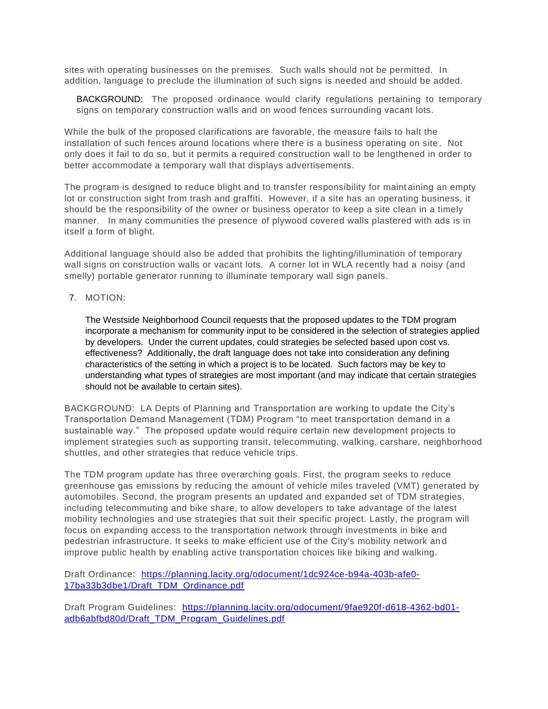sites with operating businesses on the premises. Such walls should not be permitted. In addition, language to preclude the illumination of such signs is needed and should be added.

BACKGROUND: The proposed ordinance would clarify regulations pertaining to temporary signs on temporary construction walls and on wood fences surrounding vacant lots.

While the bulk of the proposed clarifications are favorable, the measure fails to halt the installation of such fences around locations where there is a business operating on site . Not only does it fail to do so, but it permits a required construction wall to be lengthened in order to better accommodate a temporary wall that displays advertisements.

The program is designed to reduce blight and to transfer responsibility for maint aining an empty lot or construction sight from trash and graffiti. However, if a site has an operating business, it should be the responsibility of the owner or business operator to keep a site clean in a timely manner. In many communities the presence of plywood covered walls plastered with ads is in itself a form of blight.

Additional language should also be added that prohibits the lighting/illumination of temporary wall signs on construction walls or vacant lots. A corner lot in WLA recently had a noisy (and smelly) portable generator running to illuminate temporary wall sign panels.

7. MOTION:

The Westside Neighborhood Council requests that the proposed updates to the TDM program incorporate a mechanism for community input to be considered in the selection of strategies applied by developers. Under the current updates, could strategies be selected based upon cost vs. effectiveness? Additionally, the draft language does not take into consideration any defining characteristics of the setting in which a project is to be located. Such factors may be key to understanding what types of strategies are most important (and may indicate that certain strategies should not be available to certain sites).

BACKGROUND: LA Depts of Planning and Transportation are working to update the City's Transportation Demand Management (TDM) Program "to meet transportation demand in a sustainable way." The proposed update would require certain new development projects to implement strategies such as supporting transit, telecommuting, walking, carshare, neighborhood shuttles, and other strategies that reduce vehicle trips.

The TDM program update has three overarching goals. First, the program seeks to reduce greenhouse gas emissions by reducing the amount of vehicle miles traveled (VMT) generated by automobiles. Second, the program presents an updated and expanded set of TDM strategies, including telecommuting and bike share, to allow developers to take advantage of the latest mobility technologies and use strategies that suit their specific project. Lastly, the program will focus on expanding access to the transportation network through investments in bike and pedestrian infrastructure. It seeks to make efficient use of the City's mobility network an d improve public health by enabling active transportation choices like biking and walking.

Draft Ordinance: [https://planning.lacity.org/odocument/1dc924ce-b94a-403b-afe0-](https://planning.lacity.org/odocument/1dc924ce-b94a-403b-afe0-17ba33b3dbe1/Draft_TDM_Ordinance.pdf) [17ba33b3dbe1/Draft\\_TDM\\_Ordinance.pdf](https://planning.lacity.org/odocument/1dc924ce-b94a-403b-afe0-17ba33b3dbe1/Draft_TDM_Ordinance.pdf)

Draft Program Guidelines: [https://planning.lacity.org/odocument/9fae920f-d618-4362-bd01](https://planning.lacity.org/odocument/9fae920f-d618-4362-bd01-adb6abfbd80d/Draft_TDM_Program_Guidelines.pdf) [adb6abfbd80d/Draft\\_TDM\\_Program\\_Guidelines.pdf](https://planning.lacity.org/odocument/9fae920f-d618-4362-bd01-adb6abfbd80d/Draft_TDM_Program_Guidelines.pdf)